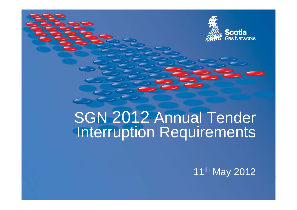

# SGN 2012 Annual Tender Interruption Requirements

1<sup>1th</sup> May 2012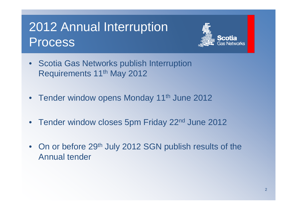## 2012 Annual Interru ption Process



- Scotia Gas Networks publish Interruption Requirements 11<sup>th</sup> May 2012
- Tender window opens Monday 11<sup>th</sup> June 2012
- Tender window closes 5pm Friday 22<sup>nd</sup> June 2012
- On or before 29<sup>th</sup> July 2012 SGN publish results of the Annual tender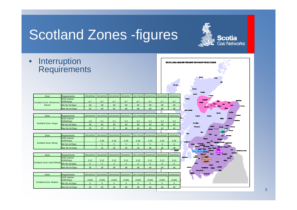## **Scotland Zones -figures**

**Scotia**<br>Gas Networks

•**Interruption** Requirements

| Zone                                 | <b>Requirements</b>     |           |                                         |       |                     | 2013/2014 2014/2015 2015/2016 2016/2017 2017/2018 2018/2019 2019/2020 |                               |           | 2020/2021     |
|--------------------------------------|-------------------------|-----------|-----------------------------------------|-------|---------------------|-----------------------------------------------------------------------|-------------------------------|-----------|---------------|
| Scotland Zone; Kilmarnock-<br>Darvel | SOQ Volume<br>(GWh/Day) | 0.7       | 0.7                                     | 0.7   | 0.7                 | 0.7                                                                   | 0.7                           | 0.7       | 0.7           |
|                                      | Min No Int Davs         | 30        | 30                                      | 30    | 30                  | 30                                                                    | 30                            | 30        | 30            |
|                                      | Max No Int Days         | 53        | 59                                      | 62    | 69                  | 69                                                                    | 69                            | 69        | 69            |
|                                      |                         |           |                                         |       |                     |                                                                       |                               |           |               |
| Zone                                 | <b>Requirements</b>     | 2013/2014 | 2014/2015                               |       | 2015/2016 2016/2017 |                                                                       | 2017/2018 2018/2019           | 2019/2020 | 2020/2021     |
| Scotland Zone; Angus                 | SOQ Volume<br>(GWh/Day) | 1.9       | 2.1                                     | 2.1   | 2.2                 | 2.2                                                                   | 2.2                           | 2.2       | 2.2           |
|                                      | Min No Int Days         | 30        | 30                                      | 30    | 30                  | 30                                                                    | 30                            | 30        | 30            |
|                                      | Max No Int Days         | 33        | 37                                      | 37    | 40                  | 40                                                                    | 42                            | 42        | 42            |
|                                      |                         |           |                                         |       |                     |                                                                       |                               |           |               |
| Zone                                 | <b>Requirements</b>     | 2013/2014 | 2014/2015                               |       | 2015/2016 2016/2017 |                                                                       | 2017/2018 2018/2019           | 2019/2020 | 2020/2021     |
| Scotland Zone; Moray                 | SOQ Volume<br>(GWh/Dav) |           | 0.35                                    | 0.35  | 0.35                | 0.35                                                                  | 0.35                          | 0.35      | 0.35          |
|                                      | Min No Int Days         |           | 5                                       | 5     | 5                   | 5                                                                     | 5                             | 5         | 5             |
|                                      | Max No Int Days         |           | 15                                      | 20    | 20                  | 34                                                                    | 38                            | 38        | 38            |
|                                      |                         |           |                                         |       |                     |                                                                       |                               |           | <b>Bonnes</b> |
| Zone                                 | <b>Requirements</b>     |           | 2013/2014 2014/2015 2015/2016 2016/2017 |       |                     |                                                                       | 2017/2018 2018/2019 2019/2020 |           | 2020/2021     |
| Scotland Zone; East Kilbride         | SOQ Volume<br>(GWh/Dav) | 0.12      | 0.12                                    | 0.12  | 0.12                | 0.12                                                                  | 0.12                          | 0.12      | 0.12          |
|                                      | Min No Int Days         | 5         | 5                                       | 5     | 5                   | 5                                                                     | 5                             | 5         | 5             |
|                                      | Max No Int Days         | 35        | 35                                      | 38    | 38                  | 38                                                                    | 40                            | 40        | 40            |
|                                      |                         |           |                                         |       |                     |                                                                       |                               |           |               |
| Zone                                 | <b>Requirements</b>     | 2013/2014 | 2014/2015                               |       | 2015/2016 2016/2017 |                                                                       | 2017/2018 2018/2019           | 2019/2020 | 2020/2021     |
| Scotland Zone; Straiton              | SOQ Volume<br>(GWh/Day) | 0.055     | 0.055                                   | 0.055 | 0.055               | 0.055                                                                 | 0.055                         | 0.055     | 0.055         |
|                                      | Min No Int Davs         | 5         | 5                                       | 5     | 5                   | 5                                                                     | 5                             | 5         | 5             |
|                                      | Max No Int Days         | 35        | 35                                      | 38    | 38                  | 38                                                                    | 40                            | 40        | 40            |



3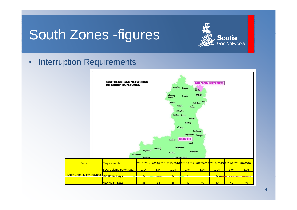## South Zones -figures

### **Scotia Gas Networks**

### •Interruption Requirements

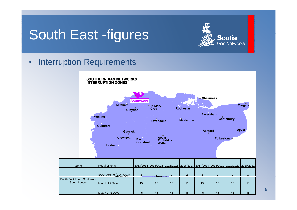## South East -figures



#### •Interruption Requirements